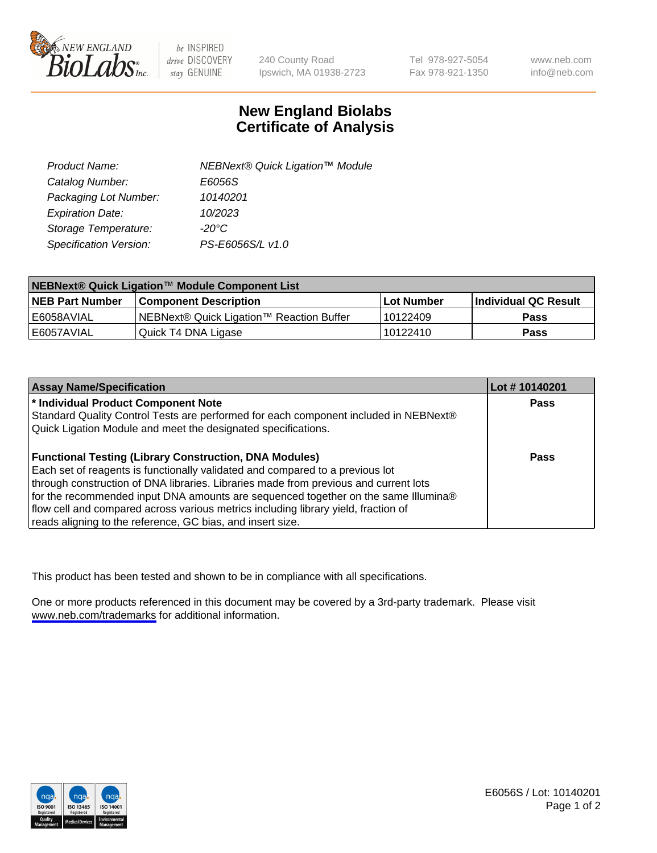

be INSPIRED drive DISCOVERY stay GENUINE

240 County Road Ipswich, MA 01938-2723 Tel 978-927-5054 Fax 978-921-1350

www.neb.com info@neb.com

## **New England Biolabs Certificate of Analysis**

| Product Name:           | NEBNext® Quick Ligation™ Module |
|-------------------------|---------------------------------|
| Catalog Number:         | E6056S                          |
| Packaging Lot Number:   | 10140201                        |
| <b>Expiration Date:</b> | 10/2023                         |
| Storage Temperature:    | $-20^{\circ}$ C                 |
| Specification Version:  | PS-E6056S/L v1.0                |

| NEBNext® Quick Ligation™ Module Component List |                                          |             |                      |  |
|------------------------------------------------|------------------------------------------|-------------|----------------------|--|
| <b>INEB Part Number</b>                        | <b>Component Description</b>             | ⊺Lot Number | Individual QC Result |  |
| l E6058AVIAL                                   | NEBNext® Quick Ligation™ Reaction Buffer | 10122409    | <b>Pass</b>          |  |
| E6057AVIAL                                     | Quick T4 DNA Ligase                      | 10122410    | <b>Pass</b>          |  |

| <b>Assay Name/Specification</b>                                                      | Lot #10140201 |
|--------------------------------------------------------------------------------------|---------------|
| * Individual Product Component Note                                                  | <b>Pass</b>   |
| Standard Quality Control Tests are performed for each component included in NEBNext® |               |
| Quick Ligation Module and meet the designated specifications.                        |               |
| <b>Functional Testing (Library Construction, DNA Modules)</b>                        | Pass          |
| Each set of reagents is functionally validated and compared to a previous lot        |               |
| through construction of DNA libraries. Libraries made from previous and current lots |               |
| for the recommended input DNA amounts are sequenced together on the same Illumina®   |               |
| flow cell and compared across various metrics including library yield, fraction of   |               |
| reads aligning to the reference, GC bias, and insert size.                           |               |

This product has been tested and shown to be in compliance with all specifications.

One or more products referenced in this document may be covered by a 3rd-party trademark. Please visit <www.neb.com/trademarks>for additional information.